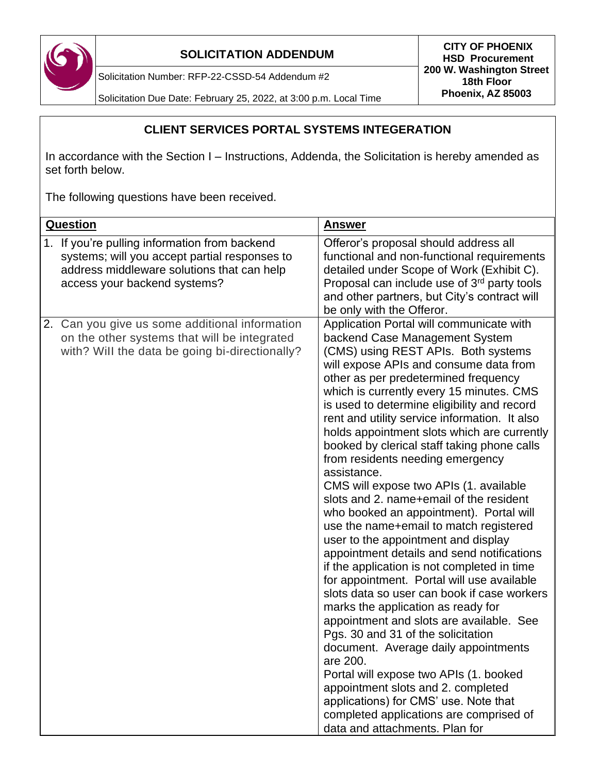

Solicitation Number: RFP-22-CSSD-54 Addendum #2

Solicitation Due Date: February 25, 2022, at 3:00 p.m. Local Time

## **CLIENT SERVICES PORTAL SYSTEMS INTEGERATION**

In accordance with the Section I – Instructions, Addenda, the Solicitation is hereby amended as set forth below.

The following questions have been received.

| <b>Question</b> |                                                                                                                                                                           | <b>Answer</b>                                                                                                                                                                                                                                                                                                                                                                                                                                                                                                                                                                                                                                                                                                                                                                                                                                                                                                                                                                                                                                                                                                                                                                                                                                                                                 |
|-----------------|---------------------------------------------------------------------------------------------------------------------------------------------------------------------------|-----------------------------------------------------------------------------------------------------------------------------------------------------------------------------------------------------------------------------------------------------------------------------------------------------------------------------------------------------------------------------------------------------------------------------------------------------------------------------------------------------------------------------------------------------------------------------------------------------------------------------------------------------------------------------------------------------------------------------------------------------------------------------------------------------------------------------------------------------------------------------------------------------------------------------------------------------------------------------------------------------------------------------------------------------------------------------------------------------------------------------------------------------------------------------------------------------------------------------------------------------------------------------------------------|
| 1.              | If you're pulling information from backend<br>systems; will you accept partial responses to<br>address middleware solutions that can help<br>access your backend systems? | Offeror's proposal should address all<br>functional and non-functional requirements<br>detailed under Scope of Work (Exhibit C).<br>Proposal can include use of 3 <sup>rd</sup> party tools<br>and other partners, but City's contract will<br>be only with the Offeror.                                                                                                                                                                                                                                                                                                                                                                                                                                                                                                                                                                                                                                                                                                                                                                                                                                                                                                                                                                                                                      |
|                 | 2. Can you give us some additional information<br>on the other systems that will be integrated<br>with? Will the data be going bi-directionally?                          | Application Portal will communicate with<br>backend Case Management System<br>(CMS) using REST APIs. Both systems<br>will expose APIs and consume data from<br>other as per predetermined frequency<br>which is currently every 15 minutes. CMS<br>is used to determine eligibility and record<br>rent and utility service information. It also<br>holds appointment slots which are currently<br>booked by clerical staff taking phone calls<br>from residents needing emergency<br>assistance.<br>CMS will expose two APIs (1. available<br>slots and 2. name+email of the resident<br>who booked an appointment). Portal will<br>use the name+email to match registered<br>user to the appointment and display<br>appointment details and send notifications<br>if the application is not completed in time<br>for appointment. Portal will use available<br>slots data so user can book if case workers<br>marks the application as ready for<br>appointment and slots are available. See<br>Pgs. 30 and 31 of the solicitation<br>document. Average daily appointments<br>are 200.<br>Portal will expose two APIs (1. booked<br>appointment slots and 2. completed<br>applications) for CMS' use. Note that<br>completed applications are comprised of<br>data and attachments. Plan for |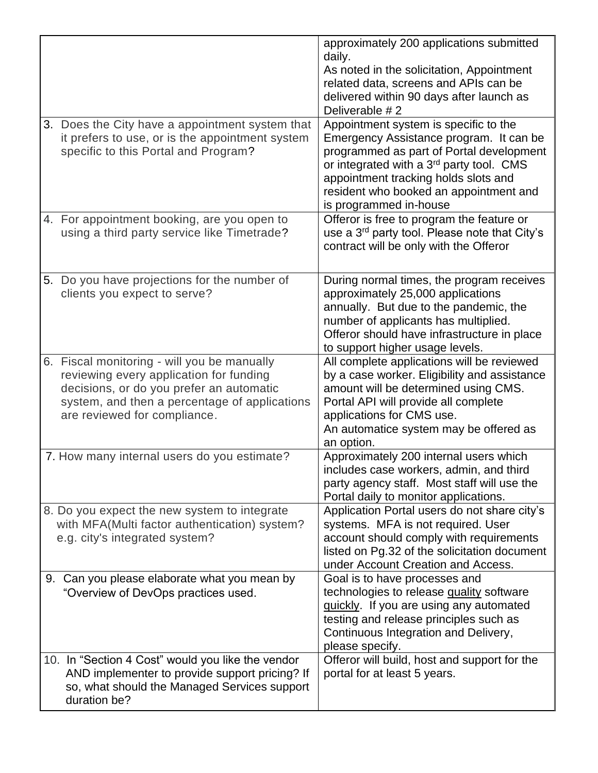|                                                                                                                                                                                                                     | approximately 200 applications submitted<br>daily.<br>As noted in the solicitation, Appointment<br>related data, screens and APIs can be<br>delivered within 90 days after launch as<br>Deliverable #2                                                                                           |
|---------------------------------------------------------------------------------------------------------------------------------------------------------------------------------------------------------------------|--------------------------------------------------------------------------------------------------------------------------------------------------------------------------------------------------------------------------------------------------------------------------------------------------|
| 3. Does the City have a appointment system that<br>it prefers to use, or is the appointment system<br>specific to this Portal and Program?                                                                          | Appointment system is specific to the<br>Emergency Assistance program. It can be<br>programmed as part of Portal development<br>or integrated with a 3 <sup>rd</sup> party tool. CMS<br>appointment tracking holds slots and<br>resident who booked an appointment and<br>is programmed in-house |
| 4. For appointment booking, are you open to<br>using a third party service like Timetrade?                                                                                                                          | Offeror is free to program the feature or<br>use a 3 <sup>rd</sup> party tool. Please note that City's<br>contract will be only with the Offeror                                                                                                                                                 |
| 5. Do you have projections for the number of<br>clients you expect to serve?                                                                                                                                        | During normal times, the program receives<br>approximately 25,000 applications<br>annually. But due to the pandemic, the<br>number of applicants has multiplied.<br>Offeror should have infrastructure in place<br>to support higher usage levels.                                               |
| 6. Fiscal monitoring - will you be manually<br>reviewing every application for funding<br>decisions, or do you prefer an automatic<br>system, and then a percentage of applications<br>are reviewed for compliance. | All complete applications will be reviewed<br>by a case worker. Eligibility and assistance<br>amount will be determined using CMS.<br>Portal API will provide all complete<br>applications for CMS use.<br>An automatice system may be offered as<br>an option.                                  |
| 7. How many internal users do you estimate?                                                                                                                                                                         | Approximately 200 internal users which<br>includes case workers, admin, and third<br>party agency staff. Most staff will use the<br>Portal daily to monitor applications.                                                                                                                        |
| 8. Do you expect the new system to integrate<br>with MFA(Multi factor authentication) system?<br>e.g. city's integrated system?                                                                                     | Application Portal users do not share city's<br>systems. MFA is not required. User<br>account should comply with requirements<br>listed on Pg.32 of the solicitation document<br>under Account Creation and Access.                                                                              |
| 9. Can you please elaborate what you mean by<br>"Overview of DevOps practices used.                                                                                                                                 | Goal is to have processes and<br>technologies to release quality software<br>quickly. If you are using any automated<br>testing and release principles such as<br>Continuous Integration and Delivery,<br>please specify.                                                                        |
| 10. In "Section 4 Cost" would you like the vendor<br>AND implementer to provide support pricing? If<br>so, what should the Managed Services support<br>duration be?                                                 | Offeror will build, host and support for the<br>portal for at least 5 years.                                                                                                                                                                                                                     |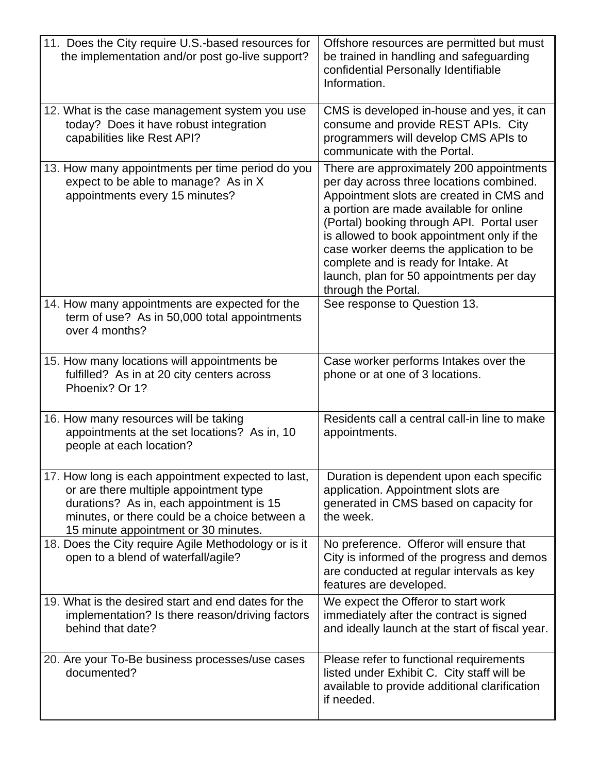| 11. Does the City require U.S.-based resources for<br>the implementation and/or post go-live support?                                                                                                                             | Offshore resources are permitted but must<br>be trained in handling and safeguarding<br>confidential Personally Identifiable<br>Information.                                                                                                                                                                                                                                                                                 |
|-----------------------------------------------------------------------------------------------------------------------------------------------------------------------------------------------------------------------------------|------------------------------------------------------------------------------------------------------------------------------------------------------------------------------------------------------------------------------------------------------------------------------------------------------------------------------------------------------------------------------------------------------------------------------|
| 12. What is the case management system you use<br>today? Does it have robust integration<br>capabilities like Rest API?                                                                                                           | CMS is developed in-house and yes, it can<br>consume and provide REST APIs. City<br>programmers will develop CMS APIs to<br>communicate with the Portal.                                                                                                                                                                                                                                                                     |
| 13. How many appointments per time period do you<br>expect to be able to manage? As in X<br>appointments every 15 minutes?                                                                                                        | There are approximately 200 appointments<br>per day across three locations combined.<br>Appointment slots are created in CMS and<br>a portion are made available for online<br>(Portal) booking through API. Portal user<br>is allowed to book appointment only if the<br>case worker deems the application to be<br>complete and is ready for Intake. At<br>launch, plan for 50 appointments per day<br>through the Portal. |
| 14. How many appointments are expected for the<br>term of use? As in 50,000 total appointments<br>over 4 months?                                                                                                                  | See response to Question 13.                                                                                                                                                                                                                                                                                                                                                                                                 |
| 15. How many locations will appointments be<br>fulfilled? As in at 20 city centers across<br>Phoenix? Or 1?                                                                                                                       | Case worker performs Intakes over the<br>phone or at one of 3 locations.                                                                                                                                                                                                                                                                                                                                                     |
| 16. How many resources will be taking<br>appointments at the set locations? As in, 10<br>people at each location?                                                                                                                 | Residents call a central call-in line to make<br>appointments.                                                                                                                                                                                                                                                                                                                                                               |
| 17. How long is each appointment expected to last,<br>or are there multiple appointment type<br>durations? As in, each appointment is 15<br>minutes, or there could be a choice between a<br>15 minute appointment or 30 minutes. | Duration is dependent upon each specific<br>application. Appointment slots are<br>generated in CMS based on capacity for<br>the week.                                                                                                                                                                                                                                                                                        |
| 18. Does the City require Agile Methodology or is it<br>open to a blend of waterfall/agile?                                                                                                                                       | No preference. Offeror will ensure that<br>City is informed of the progress and demos<br>are conducted at regular intervals as key<br>features are developed.                                                                                                                                                                                                                                                                |
| 19. What is the desired start and end dates for the<br>implementation? Is there reason/driving factors<br>behind that date?                                                                                                       | We expect the Offeror to start work<br>immediately after the contract is signed<br>and ideally launch at the start of fiscal year.                                                                                                                                                                                                                                                                                           |
| 20. Are your To-Be business processes/use cases<br>documented?                                                                                                                                                                    | Please refer to functional requirements<br>listed under Exhibit C. City staff will be<br>available to provide additional clarification<br>if needed.                                                                                                                                                                                                                                                                         |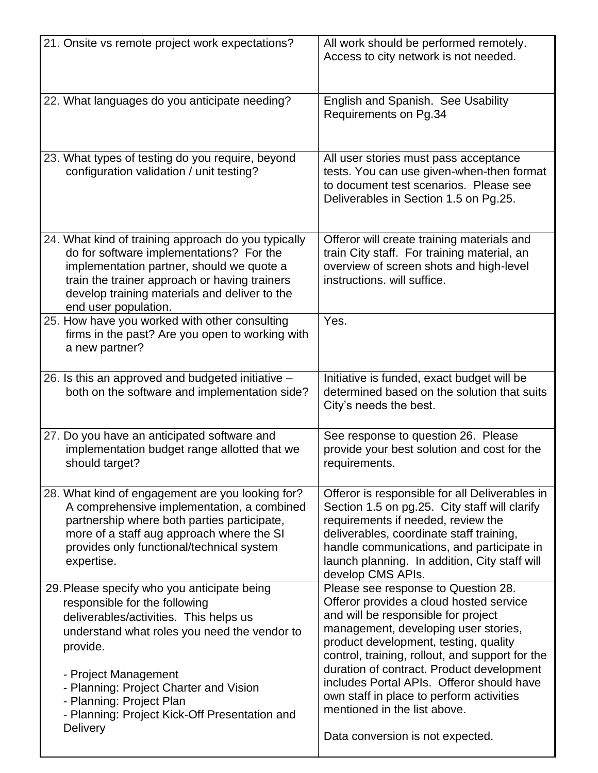| 21. Onsite vs remote project work expectations?                                                                                                                                                                                                                        | All work should be performed remotely.<br>Access to city network is not needed.                                                                                                                                                                                                                        |
|------------------------------------------------------------------------------------------------------------------------------------------------------------------------------------------------------------------------------------------------------------------------|--------------------------------------------------------------------------------------------------------------------------------------------------------------------------------------------------------------------------------------------------------------------------------------------------------|
| 22. What languages do you anticipate needing?                                                                                                                                                                                                                          | English and Spanish. See Usability<br>Requirements on Pg.34                                                                                                                                                                                                                                            |
| 23. What types of testing do you require, beyond<br>configuration validation / unit testing?                                                                                                                                                                           | All user stories must pass acceptance<br>tests. You can use given-when-then format<br>to document test scenarios. Please see<br>Deliverables in Section 1.5 on Pg.25.                                                                                                                                  |
| 24. What kind of training approach do you typically<br>do for software implementations? For the<br>implementation partner, should we quote a<br>train the trainer approach or having trainers<br>develop training materials and deliver to the<br>end user population. | Offeror will create training materials and<br>train City staff. For training material, an<br>overview of screen shots and high-level<br>instructions, will suffice.                                                                                                                                    |
| 25. How have you worked with other consulting<br>firms in the past? Are you open to working with<br>a new partner?                                                                                                                                                     | Yes.                                                                                                                                                                                                                                                                                                   |
| 26. Is this an approved and budgeted initiative -<br>both on the software and implementation side?                                                                                                                                                                     | Initiative is funded, exact budget will be<br>determined based on the solution that suits<br>City's needs the best.                                                                                                                                                                                    |
| 27. Do you have an anticipated software and<br>implementation budget range allotted that we<br>should target?                                                                                                                                                          | See response to question 26. Please<br>provide your best solution and cost for the<br>requirements.                                                                                                                                                                                                    |
| 28. What kind of engagement are you looking for?<br>A comprehensive implementation, a combined<br>partnership where both parties participate,<br>more of a staff aug approach where the SI<br>provides only functional/technical system<br>expertise.                  | Offeror is responsible for all Deliverables in<br>Section 1.5 on pg.25. City staff will clarify<br>requirements if needed, review the<br>deliverables, coordinate staff training,<br>handle communications, and participate in<br>launch planning. In addition, City staff will<br>develop CMS APIs.   |
| 29. Please specify who you anticipate being<br>responsible for the following<br>deliverables/activities. This helps us<br>understand what roles you need the vendor to<br>provide.<br>- Project Management                                                             | Please see response to Question 28.<br>Offeror provides a cloud hosted service<br>and will be responsible for project<br>management, developing user stories,<br>product development, testing, quality<br>control, training, rollout, and support for the<br>duration of contract. Product development |
| - Planning: Project Charter and Vision<br>- Planning: Project Plan<br>- Planning: Project Kick-Off Presentation and<br><b>Delivery</b>                                                                                                                                 | includes Portal APIs. Offeror should have<br>own staff in place to perform activities<br>mentioned in the list above.<br>Data conversion is not expected.                                                                                                                                              |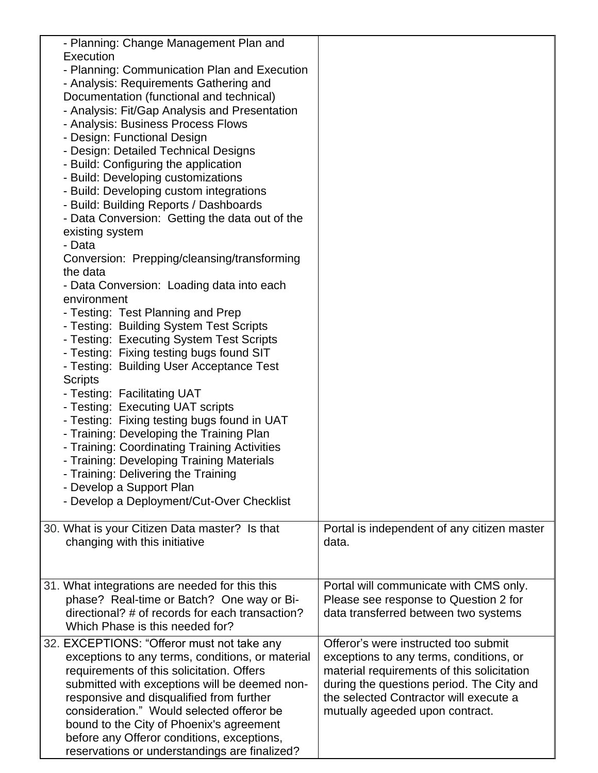| - Planning: Change Management Plan and<br>Execution<br>- Planning: Communication Plan and Execution<br>- Analysis: Requirements Gathering and<br>Documentation (functional and technical)<br>- Analysis: Fit/Gap Analysis and Presentation<br>- Analysis: Business Process Flows<br>- Design: Functional Design<br>- Design: Detailed Technical Designs<br>- Build: Configuring the application<br>- Build: Developing customizations<br>- Build: Developing custom integrations<br>- Build: Building Reports / Dashboards<br>- Data Conversion: Getting the data out of the<br>existing system<br>- Data<br>Conversion: Prepping/cleansing/transforming<br>the data<br>- Data Conversion: Loading data into each<br>environment<br>- Testing: Test Planning and Prep<br>- Testing: Building System Test Scripts<br>- Testing: Executing System Test Scripts<br>- Testing: Fixing testing bugs found SIT<br>- Testing: Building User Acceptance Test<br><b>Scripts</b><br>- Testing: Facilitating UAT<br>- Testing: Executing UAT scripts<br>- Testing: Fixing testing bugs found in UAT<br>- Training: Developing the Training Plan<br>- Training: Coordinating Training Activities<br>- Training: Developing Training Materials<br>- Training: Delivering the Training |                                                                                                                                                                                                                                                         |
|--------------------------------------------------------------------------------------------------------------------------------------------------------------------------------------------------------------------------------------------------------------------------------------------------------------------------------------------------------------------------------------------------------------------------------------------------------------------------------------------------------------------------------------------------------------------------------------------------------------------------------------------------------------------------------------------------------------------------------------------------------------------------------------------------------------------------------------------------------------------------------------------------------------------------------------------------------------------------------------------------------------------------------------------------------------------------------------------------------------------------------------------------------------------------------------------------------------------------------------------------------------------------|---------------------------------------------------------------------------------------------------------------------------------------------------------------------------------------------------------------------------------------------------------|
| - Develop a Support Plan<br>- Develop a Deployment/Cut-Over Checklist                                                                                                                                                                                                                                                                                                                                                                                                                                                                                                                                                                                                                                                                                                                                                                                                                                                                                                                                                                                                                                                                                                                                                                                                    |                                                                                                                                                                                                                                                         |
|                                                                                                                                                                                                                                                                                                                                                                                                                                                                                                                                                                                                                                                                                                                                                                                                                                                                                                                                                                                                                                                                                                                                                                                                                                                                          |                                                                                                                                                                                                                                                         |
| 30. What is your Citizen Data master? Is that<br>changing with this initiative                                                                                                                                                                                                                                                                                                                                                                                                                                                                                                                                                                                                                                                                                                                                                                                                                                                                                                                                                                                                                                                                                                                                                                                           | Portal is independent of any citizen master<br>data.                                                                                                                                                                                                    |
| 31. What integrations are needed for this this<br>phase? Real-time or Batch? One way or Bi-<br>directional? # of records for each transaction?<br>Which Phase is this needed for?                                                                                                                                                                                                                                                                                                                                                                                                                                                                                                                                                                                                                                                                                                                                                                                                                                                                                                                                                                                                                                                                                        | Portal will communicate with CMS only.<br>Please see response to Question 2 for<br>data transferred between two systems                                                                                                                                 |
| 32. EXCEPTIONS: "Offeror must not take any<br>exceptions to any terms, conditions, or material<br>requirements of this solicitation. Offers<br>submitted with exceptions will be deemed non-<br>responsive and disqualified from further<br>consideration." Would selected offeror be<br>bound to the City of Phoenix's agreement<br>before any Offeror conditions, exceptions,<br>reservations or understandings are finalized?                                                                                                                                                                                                                                                                                                                                                                                                                                                                                                                                                                                                                                                                                                                                                                                                                                         | Offeror's were instructed too submit<br>exceptions to any terms, conditions, or<br>material requirements of this solicitation<br>during the questions period. The City and<br>the selected Contractor will execute a<br>mutually ageeded upon contract. |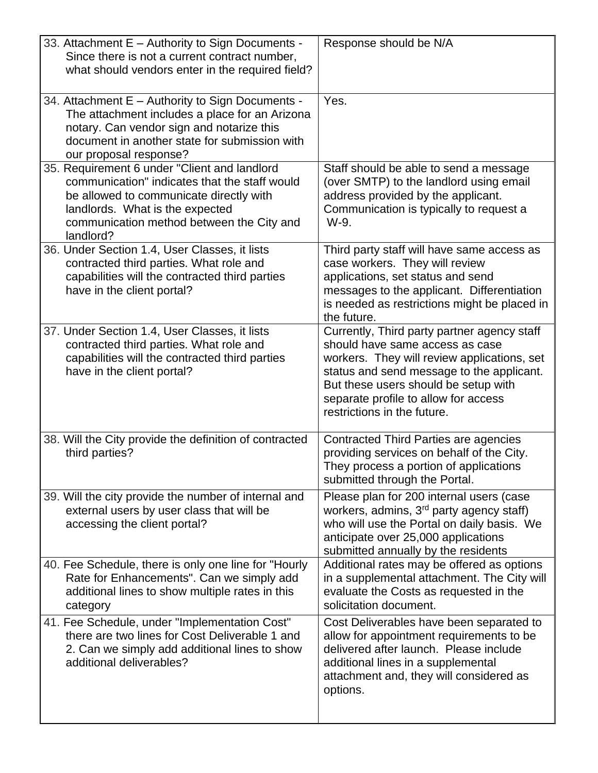| 33. Attachment E - Authority to Sign Documents -<br>Since there is not a current contract number,<br>what should vendors enter in the required field?                                                                                 | Response should be N/A                                                                                                                                                                                                                                                                    |
|---------------------------------------------------------------------------------------------------------------------------------------------------------------------------------------------------------------------------------------|-------------------------------------------------------------------------------------------------------------------------------------------------------------------------------------------------------------------------------------------------------------------------------------------|
| 34. Attachment E - Authority to Sign Documents -<br>The attachment includes a place for an Arizona<br>notary. Can vendor sign and notarize this<br>document in another state for submission with<br>our proposal response?            | Yes.                                                                                                                                                                                                                                                                                      |
| 35. Requirement 6 under "Client and landlord<br>communication" indicates that the staff would<br>be allowed to communicate directly with<br>landlords. What is the expected<br>communication method between the City and<br>landlord? | Staff should be able to send a message<br>(over SMTP) to the landlord using email<br>address provided by the applicant.<br>Communication is typically to request a<br>W-9.                                                                                                                |
| 36. Under Section 1.4, User Classes, it lists<br>contracted third parties. What role and<br>capabilities will the contracted third parties<br>have in the client portal?                                                              | Third party staff will have same access as<br>case workers. They will review<br>applications, set status and send<br>messages to the applicant. Differentiation<br>is needed as restrictions might be placed in<br>the future.                                                            |
| 37. Under Section 1.4, User Classes, it lists<br>contracted third parties. What role and<br>capabilities will the contracted third parties<br>have in the client portal?                                                              | Currently, Third party partner agency staff<br>should have same access as case<br>workers. They will review applications, set<br>status and send message to the applicant.<br>But these users should be setup with<br>separate profile to allow for access<br>restrictions in the future. |
| 38. Will the City provide the definition of contracted<br>third parties?                                                                                                                                                              | Contracted Third Parties are agencies<br>providing services on behalf of the City.<br>They process a portion of applications<br>submitted through the Portal.                                                                                                                             |
| 39. Will the city provide the number of internal and<br>external users by user class that will be<br>accessing the client portal?                                                                                                     | Please plan for 200 internal users (case<br>workers, admins, 3 <sup>rd</sup> party agency staff)<br>who will use the Portal on daily basis. We<br>anticipate over 25,000 applications<br>submitted annually by the residents                                                              |
| 40. Fee Schedule, there is only one line for "Hourly<br>Rate for Enhancements". Can we simply add<br>additional lines to show multiple rates in this<br>category                                                                      | Additional rates may be offered as options<br>in a supplemental attachment. The City will<br>evaluate the Costs as requested in the<br>solicitation document.                                                                                                                             |
| 41. Fee Schedule, under "Implementation Cost"<br>there are two lines for Cost Deliverable 1 and<br>2. Can we simply add additional lines to show<br>additional deliverables?                                                          | Cost Deliverables have been separated to<br>allow for appointment requirements to be<br>delivered after launch. Please include<br>additional lines in a supplemental<br>attachment and, they will considered as<br>options.                                                               |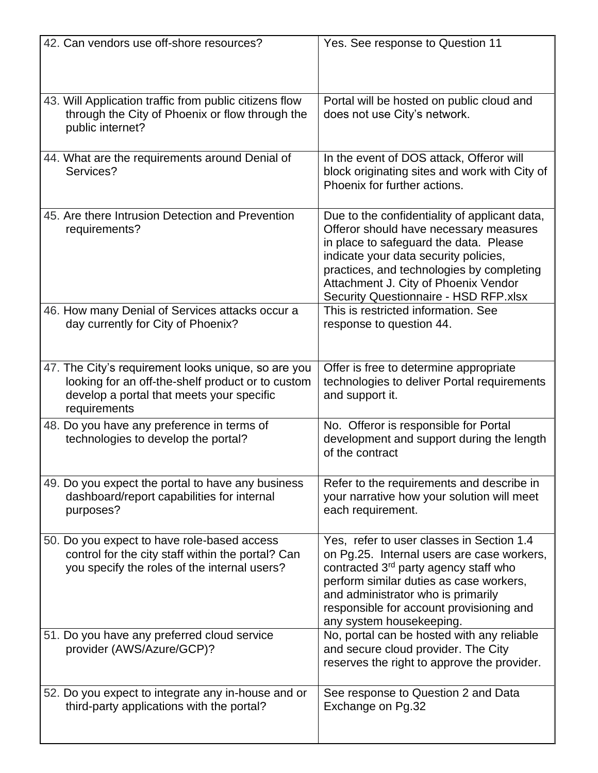| 42. Can vendors use off-shore resources?                                                                                                                              | Yes. See response to Question 11                                                                                                                                                                                                                                                                         |
|-----------------------------------------------------------------------------------------------------------------------------------------------------------------------|----------------------------------------------------------------------------------------------------------------------------------------------------------------------------------------------------------------------------------------------------------------------------------------------------------|
| 43. Will Application traffic from public citizens flow<br>through the City of Phoenix or flow through the<br>public internet?                                         | Portal will be hosted on public cloud and<br>does not use City's network.                                                                                                                                                                                                                                |
| 44. What are the requirements around Denial of<br>Services?                                                                                                           | In the event of DOS attack, Offeror will<br>block originating sites and work with City of<br>Phoenix for further actions.                                                                                                                                                                                |
| 45. Are there Intrusion Detection and Prevention<br>requirements?                                                                                                     | Due to the confidentiality of applicant data,<br>Offeror should have necessary measures<br>in place to safeguard the data. Please<br>indicate your data security policies,<br>practices, and technologies by completing<br>Attachment J. City of Phoenix Vendor<br>Security Questionnaire - HSD RFP.xlsx |
| 46. How many Denial of Services attacks occur a<br>day currently for City of Phoenix?                                                                                 | This is restricted information. See<br>response to question 44.                                                                                                                                                                                                                                          |
| 47. The City's requirement looks unique, so are you<br>looking for an off-the-shelf product or to custom<br>develop a portal that meets your specific<br>requirements | Offer is free to determine appropriate<br>technologies to deliver Portal requirements<br>and support it.                                                                                                                                                                                                 |
| 48. Do you have any preference in terms of<br>technologies to develop the portal?                                                                                     | No. Offeror is responsible for Portal<br>development and support during the length<br>of the contract                                                                                                                                                                                                    |
| 49. Do you expect the portal to have any business<br>dashboard/report capabilities for internal<br>purposes?                                                          | Refer to the requirements and describe in<br>your narrative how your solution will meet<br>each requirement.                                                                                                                                                                                             |
| 50. Do you expect to have role-based access<br>control for the city staff within the portal? Can<br>you specify the roles of the internal users?                      | Yes, refer to user classes in Section 1.4<br>on Pg.25. Internal users are case workers,<br>contracted 3 <sup>rd</sup> party agency staff who<br>perform similar duties as case workers,<br>and administrator who is primarily<br>responsible for account provisioning and<br>any system housekeeping.    |
| 51. Do you have any preferred cloud service<br>provider (AWS/Azure/GCP)?                                                                                              | No, portal can be hosted with any reliable<br>and secure cloud provider. The City<br>reserves the right to approve the provider.                                                                                                                                                                         |
| 52. Do you expect to integrate any in-house and or<br>third-party applications with the portal?                                                                       | See response to Question 2 and Data<br>Exchange on Pg.32                                                                                                                                                                                                                                                 |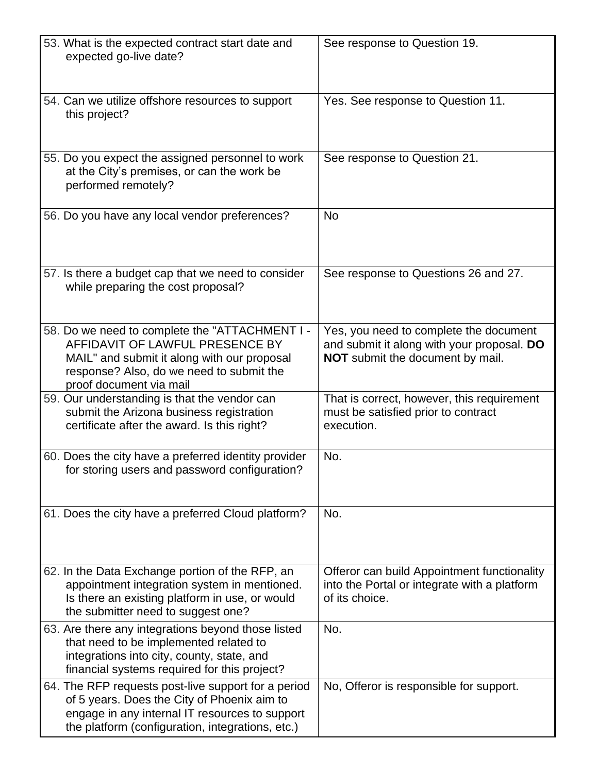| 53. What is the expected contract start date and<br>expected go-live date?                                                                                                                               | See response to Question 19.                                                                                                    |
|----------------------------------------------------------------------------------------------------------------------------------------------------------------------------------------------------------|---------------------------------------------------------------------------------------------------------------------------------|
| 54. Can we utilize offshore resources to support<br>this project?                                                                                                                                        | Yes. See response to Question 11.                                                                                               |
| 55. Do you expect the assigned personnel to work<br>at the City's premises, or can the work be<br>performed remotely?                                                                                    | See response to Question 21.                                                                                                    |
| 56. Do you have any local vendor preferences?                                                                                                                                                            | <b>No</b>                                                                                                                       |
| 57. Is there a budget cap that we need to consider<br>while preparing the cost proposal?                                                                                                                 | See response to Questions 26 and 27.                                                                                            |
| 58. Do we need to complete the "ATTACHMENT I -<br>AFFIDAVIT OF LAWFUL PRESENCE BY<br>MAIL" and submit it along with our proposal<br>response? Also, do we need to submit the<br>proof document via mail  | Yes, you need to complete the document<br>and submit it along with your proposal. DO<br><b>NOT</b> submit the document by mail. |
| 59. Our understanding is that the vendor can<br>submit the Arizona business registration<br>certificate after the award. Is this right?                                                                  | That is correct, however, this requirement<br>must be satisfied prior to contract<br>execution.                                 |
| 60. Does the city have a preferred identity provider<br>for storing users and password configuration?                                                                                                    | No.                                                                                                                             |
| 61. Does the city have a preferred Cloud platform?                                                                                                                                                       | No.                                                                                                                             |
| 62. In the Data Exchange portion of the RFP, an<br>appointment integration system in mentioned.<br>Is there an existing platform in use, or would<br>the submitter need to suggest one?                  | Offeror can build Appointment functionality<br>into the Portal or integrate with a platform<br>of its choice.                   |
| 63. Are there any integrations beyond those listed<br>that need to be implemented related to<br>integrations into city, county, state, and<br>financial systems required for this project?               | No.                                                                                                                             |
| 64. The RFP requests post-live support for a period<br>of 5 years. Does the City of Phoenix aim to<br>engage in any internal IT resources to support<br>the platform (configuration, integrations, etc.) | No, Offeror is responsible for support.                                                                                         |